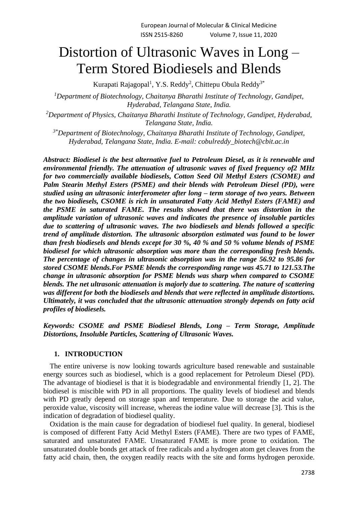# Distortion of Ultrasonic Waves in Long – Term Stored Biodiesels and Blends

Kurapati Rajagopal<sup>1</sup>, Y.S. Reddy<sup>2</sup>, Chittepu Obula Reddy<sup>3\*</sup>

*<sup>1</sup>Department of Biotechnology, Chaitanya Bharathi Institute of Technology, Gandipet, Hyderabad, Telangana State, India.*

*<sup>2</sup>Department of Physics, Chaitanya Bharathi Institute of Technology, Gandipet, Hyderabad, Telangana State, India.*

*3\*Department of Biotechnology, Chaitanya Bharathi Institute of Technology, Gandipet, Hyderabad, Telangana State, India. E-mail: cobulreddy\_biotech@cbit.ac.in*

*Abstract: Biodiesel is the best alternative fuel to Petroleum Diesel, as it is renewable and environmental friendly. The attenuation of ultrasonic waves of fixed frequency of2 MHz for two commercially available biodiesels, Cotton Seed Oil Methyl Esters (CSOME) and Palm Stearin Methyl Esters (PSME) and their blends with Petroleum Diesel (PD), were studied using an ultrasonic interferometer after long – term storage of two years. Between the two biodiesels, CSOME is rich in unsaturated Fatty Acid Methyl Esters (FAME) and the PSME in saturated FAME. The results showed that there was distortion in the amplitude variation of ultrasonic waves and indicates the presence of insoluble particles due to scattering of ultrasonic waves. The two biodiesels and blends followed a specific trend of amplitude distortion. The ultrasonic absorption estimated was found to be lower than fresh biodiesels and blends except for 30 %, 40 % and 50 % volume blends of PSME biodiesel for which ultrasonic absorption was more than the corresponding fresh blends. The percentage of changes in ultrasonic absorption was in the range 56.92 to 95.86 for stored CSOME blends.For PSME blends the corresponding range was 45.71 to 121.53.The change in ultrasonic absorption for PSME blends was sharp when compared to CSOME blends. The net ultrasonic attenuation is majorly due to scattering. The nature of scattering was different for both the biodiesels and blends that were reflected in amplitude distortions. Ultimately, it was concluded that the ultrasonic attenuation strongly depends on fatty acid profiles of biodiesels.*

*Keywords: CSOME and PSME Biodiesel Blends, Long – Term Storage, Amplitude Distortions, Insoluble Particles, Scattering of Ultrasonic Waves.*

#### **1. INTRODUCTION**

The entire universe is now looking towards agriculture based renewable and sustainable energy sources such as biodiesel, which is a good replacement for Petroleum Diesel (PD). The advantage of biodiesel is that it is biodegradable and environmental friendly [1, 2]. The biodiesel is miscible with PD in all proportions. The quality levels of biodiesel and blends with PD greatly depend on storage span and temperature. Due to storage the acid value, peroxide value, viscosity will increase, whereas the iodine value will decrease [3]. This is the indication of degradation of biodiesel quality.

Oxidation is the main cause for degradation of biodiesel fuel quality. In general, biodiesel is composed of different Fatty Acid Methyl Esters (FAME). There are two types of FAME, saturated and unsaturated FAME. Unsaturated FAME is more prone to oxidation. The unsaturated double bonds get attack of free radicals and a hydrogen atom get cleaves from the fatty acid chain, then, the oxygen readily reacts with the site and forms hydrogen peroxide.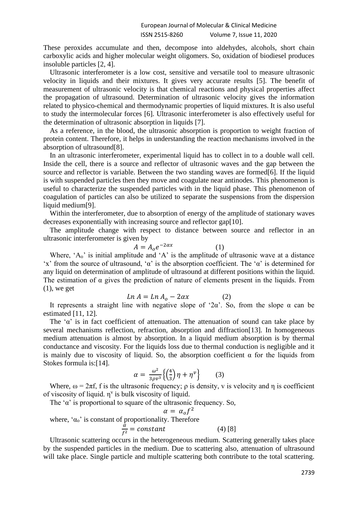These peroxides accumulate and then, decompose into aldehydes, alcohols, short chain carboxylic acids and higher molecular weight oligomers. So, oxidation of biodiesel produces insoluble particles [2, 4].

Ultrasonic interferometer is a low cost, sensitive and versatile tool to measure ultrasonic velocity in liquids and their mixtures. It gives very accurate results [5]. The benefit of measurement of ultrasonic velocity is that chemical reactions and physical properties affect the propagation of ultrasound. Determination of ultrasonic velocity gives the information related to physico-chemical and thermodynamic properties of liquid mixtures. It is also useful to study the intermolecular forces [6]. Ultrasonic interferometer is also effectively useful for the determination of ultrasonic absorption in liquids [7].

As a reference, in the blood, the ultrasonic absorption is proportion to weight fraction of protein content. Therefore, it helps in understanding the reaction mechanisms involved in the absorption of ultrasound[8].

In an ultrasonic interferometer, experimental liquid has to collect in to a double wall cell. Inside the cell, there is a source and reflector of ultrasonic waves and the gap between the source and reflector is variable. Between the two standing waves are formed[6]. If the liquid is with suspended particles then they move and coagulate near antinodes. This phenomenon is useful to characterize the suspended particles with in the liquid phase. This phenomenon of coagulation of particles can also be utilized to separate the suspensions from the dispersion liquid medium[9].

Within the interferometer, due to absorption of energy of the amplitude of stationary waves decreases exponentially with increasing source and reflector gap[10].

The amplitude change with respect to distance between source and reflector in an ultrasonic interferometer is given by

$$
A = A_o e^{-2\alpha x} \tag{1}
$$

Where,  $A_0$  is initial amplitude and  $A$  is the amplitude of ultrasonic wave at a distance 'x' from the source of ultrasound, 'α' is the absorption coefficient. The 'α' is determined for any liquid on determination of amplitude of ultrasound at different positions within the liquid. The estimation of  $\alpha$  gives the prediction of nature of elements present in the liquids. From (1), we get

$$
Ln A = Ln Ao - 2\alpha x \tag{2}
$$

It represents a straight line with negative slope of '2α'. So, from the slope  $\alpha$  can be estimated [11, 12].

The ' $\alpha$ ' is in fact coefficient of attenuation. The attenuation of sound can take place by several mechanisms reflection, refraction, absorption and diffraction[13]. In homogeneous medium attenuation is almost by absorption. In a liquid medium absorption is by thermal conductance and viscosity. For the liquids loss due to thermal conduction is negligible and it is mainly due to viscosity of liquid. So, the absorption coefficient  $\alpha$  for the liquids from Stokes formula is:[14].

$$
\alpha = \frac{\omega^2}{3\rho v^3} \left\{ \left( \frac{4}{3} \right) \eta + \eta^{\nu} \right\} \tag{3}
$$

Where,  $\omega = 2\pi f$ , f is the ultrasonic frequency;  $\rho$  is density, v is velocity and  $\eta$  is coefficient of viscosity of liquid.  $\eta^v$  is bulk viscosity of liquid.

The ' $\alpha$ ' is proportional to square of the ultrasonic frequency. So,

$$
\alpha = \alpha_0 f^2
$$
  
where, ' $\alpha_0$ ' is constant of proportionality. Therefore  

$$
\frac{\alpha}{f^2} = constant
$$
 (4) [8]

Ultrasonic scattering occurs in the heterogeneous medium. Scattering generally takes place by the suspended particles in the medium. Due to scattering also, attenuation of ultrasound will take place. Single particle and multiple scattering both contribute to the total scattering.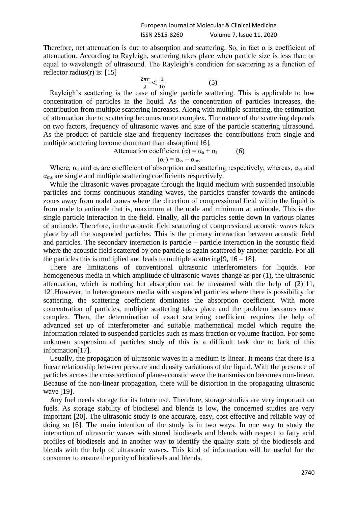Therefore, net attenuation is due to absorption and scattering. So, in fact  $\alpha$  is coefficient of attenuation. According to Rayleigh, scattering takes place when particle size is less than or equal to wavelength of ultrasound. The Rayleigh's condition for scattering as a function of reflector radius(r) is:  $[15]$ 

$$
\frac{2\pi r}{\lambda} < \frac{1}{10} \tag{5}
$$

Rayleigh's scattering is the case of single particle scattering. This is applicable to low concentration of particles in the liquid. As the concentration of particles increases, the contribution from multiple scattering increases. Along with multiple scattering, the estimation of attenuation due to scattering becomes more complex. The nature of the scattering depends on two factors, frequency of ultrasonic waves and size of the particle scattering ultrasound. As the product of particle size and frequency increases the contributions from single and multiple scattering become dominant than absorption[16].

Attenuation coefficient ( $\alpha$ ) =  $\alpha_a + \alpha_s$  (6)

$$
(\alpha_s) = \alpha_{ss} + \alpha_{ms}
$$

Where,  $\alpha_a$  and  $\alpha_s$  are coefficient of absorption and scattering respectively, whereas,  $\alpha_{ss}$  and  $\alpha_{\rm ms}$  are single and multiple scattering coefficients respectively.

While the ultrasonic waves propagate through the liquid medium with suspended insoluble particles and forms continuous standing waves, the particles transfer towards the antinode zones away from nodal zones where the direction of compressional field within the liquid is from node to antinode that is, maximum at the node and minimum at antinode. This is the single particle interaction in the field. Finally, all the particles settle down in various planes of antinode. Therefore, in the acoustic field scattering of compressional acoustic waves takes place by all the suspended particles. This is the primary interaction between acoustic field and particles. The secondary interaction is particle – particle interaction in the acoustic field where the acoustic field scattered by one particle is again scattered by another particle. For all the particles this is multiplied and leads to multiple scattering [9,  $16 - 18$ ].

There are limitations of conventional ultrasonic interferometers for liquids. For homogeneous media in which amplitude of ultrasonic waves change as per (1), the ultrasonic attenuation, which is nothing but absorption can be measured with the help of (2)[11, 12].However, in heterogeneous media with suspended particles where there is possibility for scattering, the scattering coefficient dominates the absorption coefficient. With more concentration of particles, multiple scattering takes place and the problem becomes more complex. Then, the determination of exact scattering coefficient requires the help of advanced set up of interferometer and suitable mathematical model which require the information related to suspended particles such as mass fraction or volume fraction. For some unknown suspension of particles study of this is a difficult task due to lack of this information[17].

Usually, the propagation of ultrasonic waves in a medium is linear. It means that there is a linear relationship between pressure and density variations of the liquid. With the presence of particles across the cross section of plane-acoustic wave the transmission becomes non-linear. Because of the non-linear propagation, there will be distortion in the propagating ultrasonic wave [19].

Any fuel needs storage for its future use. Therefore, storage studies are very important on fuels. As storage stability of biodiesel and blends is low, the concerned studies are very important [20]. The ultrasonic study is one accurate, easy, cost effective and reliable way of doing so [6]. The main intention of the study is in two ways. In one way to study the interaction of ultrasonic waves with stored biodiesels and blends with respect to fatty acid profiles of biodiesels and in another way to identify the quality state of the biodiesels and blends with the help of ultrasonic waves. This kind of information will be useful for the consumer to ensure the purity of biodiesels and blends.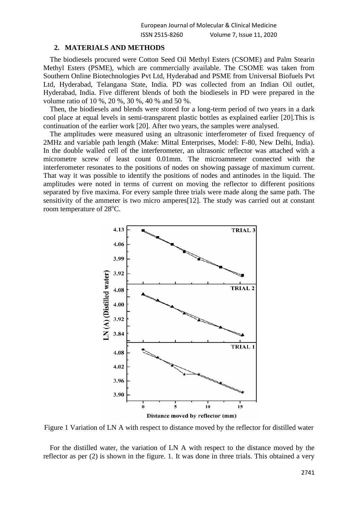#### **2. MATERIALS AND METHODS**

The biodiesels procured were Cotton Seed Oil Methyl Esters (CSOME) and Palm Stearin Methyl Esters (PSME), which are commercially available. The CSOME was taken from Southern Online Biotechnologies Pvt Ltd, Hyderabad and PSME from Universal Biofuels Pvt Ltd, Hyderabad, Telangana State, India. PD was collected from an Indian Oil outlet, Hyderabad, India. Five different blends of both the biodiesels in PD were prepared in the volume ratio of 10 %, 20 %, 30 %, 40 % and 50 %.

Then, the biodiesels and blends were stored for a long-term period of two years in a dark cool place at equal levels in semi-transparent plastic bottles as explained earlier [20].This is continuation of the earlier work [20]. After two years, the samples were analysed.

The amplitudes were measured using an ultrasonic interferometer of fixed frequency of 2MHz and variable path length (Make: Mittal Enterprises, Model: F-80, New Delhi, India). In the double walled cell of the interferometer, an ultrasonic reflector was attached with a micrometre screw of least count 0.01mm. The microammeter connected with the interferometer resonates to the positions of nodes on showing passage of maximum current. That way it was possible to identify the positions of nodes and antinodes in the liquid. The amplitudes were noted in terms of current on moving the reflector to different positions separated by five maxima. For every sample three trials were made along the same path. The sensitivity of the ammeter is two micro amperes[12]. The study was carried out at constant room temperature of 28<sup>o</sup>C.



Figure 1 Variation of LN A with respect to distance moved by the reflector for distilled water

For the distilled water, the variation of LN A with respect to the distance moved by the reflector as per (2) is shown in the figure. 1. It was done in three trials. This obtained a very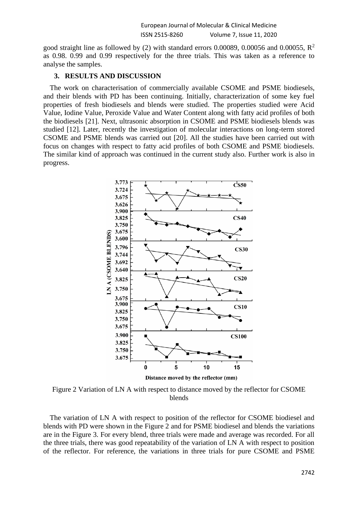good straight line as followed by (2) with standard errors 0.00089, 0.00056 and 0.00055,  $\mathbb{R}^2$ as 0.98. 0.99 and 0.99 respectively for the three trials. This was taken as a reference to analyse the samples.

## **3. RESULTS AND DISCUSSION**

The work on characterisation of commercially available CSOME and PSME biodiesels, and their blends with PD has been continuing. Initially, characterization of some key fuel properties of fresh biodiesels and blends were studied. The properties studied were Acid Value, Iodine Value, Peroxide Value and Water Content along with fatty acid profiles of both the biodiesels [21]. Next, ultrasonic absorption in CSOME and PSME biodiesels blends was studied [12]. Later, recently the investigation of molecular interactions on long-term stored CSOME and PSME blends was carried out [20]. All the studies have been carried out with focus on changes with respect to fatty acid profiles of both CSOME and PSME biodiesels. The similar kind of approach was continued in the current study also. Further work is also in progress.



Figure 2 Variation of LN A with respect to distance moved by the reflector for CSOME blends

The variation of LN A with respect to position of the reflector for CSOME biodiesel and blends with PD were shown in the Figure 2 and for PSME biodiesel and blends the variations are in the Figure 3. For every blend, three trials were made and average was recorded. For all the three trials, there was good repeatability of the variation of LN A with respect to position of the reflector. For reference, the variations in three trials for pure CSOME and PSME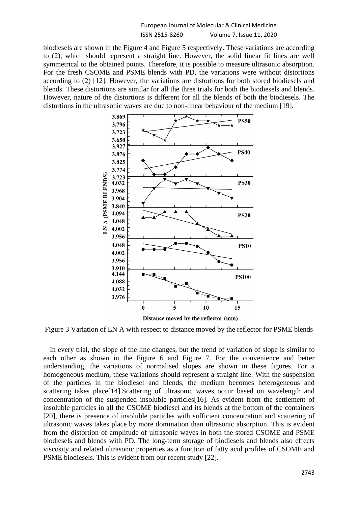## European Journal of Molecular & Clinical Medicine ISSN 2515-8260 Volume 7, Issue 11, 2020

biodiesels are shown in the Figure 4 and Figure 5 respectively. These variations are according to (2), which should represent a straight line. However, the solid linear fit lines are well symmetrical to the obtained points. Therefore, it is possible to measure ultrasonic absorption. For the fresh CSOME and PSME blends with PD, the variations were without distortions according to (2) [12]. However, the variations are distortions for both stored biodiesels and blends. These distortions are similar for all the three trials for both the biodiesels and blends. However, nature of the distortions is different for all the blends of both the biodiesels. The distortions in the ultrasonic waves are due to non-linear behaviour of the medium [19].



Figure 3 Variation of LN A with respect to distance moved by the reflector for PSME blends

In every trial, the slope of the line changes, but the trend of variation of slope is similar to each other as shown in the Figure 6 and Figure 7. For the convenience and better understanding, the variations of normalised slopes are shown in these figures. For a homogeneous medium, these variations should represent a straight line. With the suspension of the particles in the biodiesel and blends, the medium becomes heterogeneous and scattering takes place[14].Scattering of ultrasonic waves occur based on wavelength and concentration of the suspended insoluble particles[16]. As evident from the settlement of insoluble particles in all the CSOME biodiesel and its blends at the bottom of the containers [20], there is presence of insoluble particles with sufficient concentration and scattering of ultrasonic waves takes place by more domination than ultrasonic absorption. This is evident from the distortion of amplitude of ultrasonic waves in both the stored CSOME and PSME biodiesels and blends with PD. The long-term storage of biodiesels and blends also effects viscosity and related ultrasonic properties as a function of fatty acid profiles of CSOME and PSME biodiesels. This is evident from our recent study [22].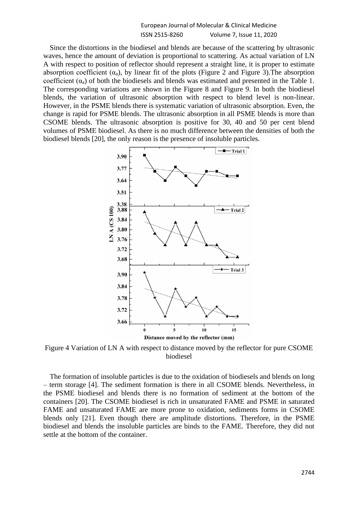|                | European Journal of Molecular & Clinical Medicine |
|----------------|---------------------------------------------------|
| ISSN 2515-8260 | Volume 7, Issue 11, 2020                          |

Since the distortions in the biodiesel and blends are because of the scattering by ultrasonic waves, hence the amount of deviation is proportional to scattering. As actual variation of LN A with respect to position of reflector should represent a straight line, it is proper to estimate absorption coefficient  $(\alpha_a)$ , by linear fit of the plots (Figure 2 and Figure 3). The absorption coefficient  $(\alpha_a)$  of both the biodiesels and blends was estimated and presented in the Table 1. The corresponding variations are shown in the Figure 8 and Figure 9. In both the biodiesel blends, the variation of ultrasonic absorption with respect to blend level is non-linear. However, in the PSME blends there is systematic variation of ultrasonic absorption. Even, the change is rapid for PSME blends. The ultrasonic absorption in all PSME blends is more than CSOME blends. The ultrasonic absorption is positive for 30, 40 and 50 per cent blend volumes of PSME biodiesel. As there is no much difference between the densities of both the biodiesel blends [20], the only reason is the presence of insoluble particles.



Figure 4 Variation of LN A with respect to distance moved by the reflector for pure CSOME biodiesel

The formation of insoluble particles is due to the oxidation of biodiesels and blends on long – term storage [4]. The sediment formation is there in all CSOME blends. Nevertheless, in the PSME biodiesel and blends there is no formation of sediment at the bottom of the containers [20]. The CSOME biodiesel is rich in unsaturated FAME and PSME in saturated FAME and unsaturated FAME are more prone to oxidation, sediments forms in CSOME blends only [21]. Even though there are amplitude distortions. Therefore, in the PSME biodiesel and blends the insoluble particles are binds to the FAME. Therefore, they did not settle at the bottom of the container.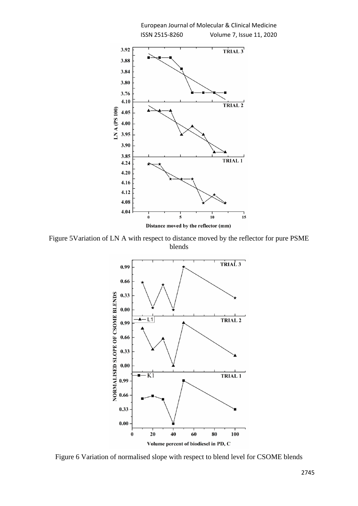

Figure 5Variation of LN A with respect to distance moved by the reflector for pure PSME blends



Figure 6 Variation of normalised slope with respect to blend level for CSOME blends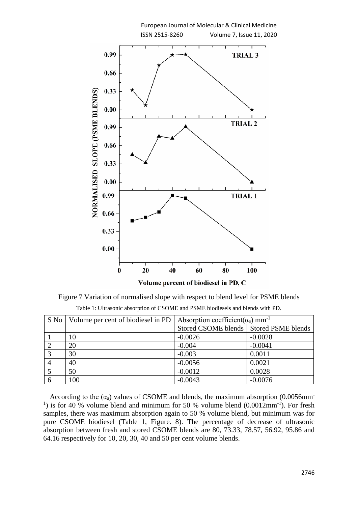

Figure 7 Variation of normalised slope with respect to blend level for PSME blends Table 1: Ultrasonic absorption of CSOME and PSME biodiesels and blends with PD.

|   | S No   Volume per cent of biodiesel in PD | Absorption coefficient( $\alpha_a$ ) mm <sup>-1</sup> |           |
|---|-------------------------------------------|-------------------------------------------------------|-----------|
|   |                                           | Stored CSOME blends   Stored PSME blends              |           |
|   | 10                                        | $-0.0026$                                             | $-0.0028$ |
|   | 20                                        | $-0.004$                                              | $-0.0041$ |
|   | 30                                        | $-0.003$                                              | 0.0011    |
|   | 40                                        | $-0.0056$                                             | 0.0021    |
|   | 50                                        | $-0.0012$                                             | 0.0028    |
| 6 | 100                                       | $-0.0043$                                             | $-0.0076$ |

According to the  $(\alpha_a)$  values of CSOME and blends, the maximum absorption (0.0056mm<sup>-</sup> <sup>1</sup>) is for 40 % volume blend and minimum for 50 % volume blend  $(0.0012 \text{mm}^{-1})$ . For fresh samples, there was maximum absorption again to 50 % volume blend, but minimum was for pure CSOME biodiesel (Table 1, Figure. 8). The percentage of decrease of ultrasonic absorption between fresh and stored CSOME blends are 80, 73.33, 78.57, 56.92, 95.86 and 64.16 respectively for 10, 20, 30, 40 and 50 per cent volume blends.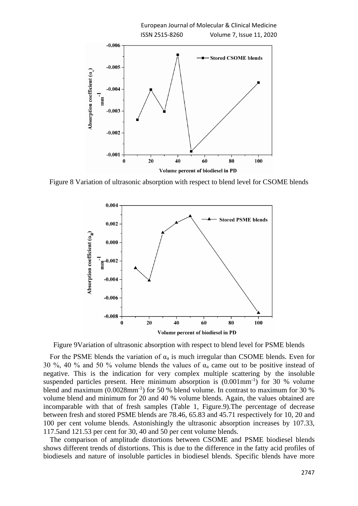

Figure 8 Variation of ultrasonic absorption with respect to blend level for CSOME blends



Figure 9Variation of ultrasonic absorption with respect to blend level for PSME blends

For the PSME blends the variation of  $\alpha_a$  is much irregular than CSOME blends. Even for 30 %, 40 % and 50 % volume blends the values of  $\alpha_a$  came out to be positive instead of negative. This is the indication for very complex multiple scattering by the insoluble suspended particles present. Here minimum absorption is  $(0.001 \text{mm}^{-1})$  for 30 % volume blend and maximum (0.0028mm<sup>-1</sup>) for 50 % blend volume. In contrast to maximum for 30 % volume blend and minimum for 20 and 40 % volume blends. Again, the values obtained are incomparable with that of fresh samples (Table 1, Figure.9).The percentage of decrease between fresh and stored PSME blends are 78.46, 65.83 and 45.71 respectively for 10, 20 and 100 per cent volume blends. Astonishingly the ultrasonic absorption increases by 107.33, 117.5and 121.53 per cent for 30, 40 and 50 per cent volume blends.

The comparison of amplitude distortions between CSOME and PSME biodiesel blends shows different trends of distortions. This is due to the difference in the fatty acid profiles of biodiesels and nature of insoluble particles in biodiesel blends. Specific blends have more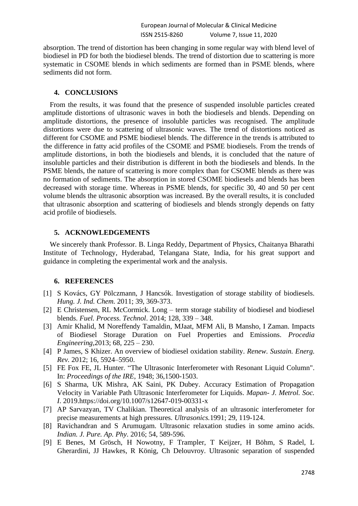absorption. The trend of distortion has been changing in some regular way with blend level of biodiesel in PD for both the biodiesel blends. The trend of distortion due to scattering is more systematic in CSOME blends in which sediments are formed than in PSME blends, where sediments did not form.

## **4. CONCLUSIONS**

From the results, it was found that the presence of suspended insoluble particles created amplitude distortions of ultrasonic waves in both the biodiesels and blends. Depending on amplitude distortions, the presence of insoluble particles was recognised. The amplitude distortions were due to scattering of ultrasonic waves. The trend of distortions noticed as different for CSOME and PSME biodiesel blends. The difference in the trends is attributed to the difference in fatty acid profiles of the CSOME and PSME biodiesels. From the trends of amplitude distortions, in both the biodiesels and blends, it is concluded that the nature of insoluble particles and their distribution is different in both the biodiesels and blends. In the PSME blends, the nature of scattering is more complex than for CSOME blends as there was no formation of sediments. The absorption in stored CSOME biodiesels and blends has been decreased with storage time. Whereas in PSME blends, for specific 30, 40 and 50 per cent volume blends the ultrasonic absorption was increased. By the overall results, it is concluded that ultrasonic absorption and scattering of biodiesels and blends strongly depends on fatty acid profile of biodiesels.

# **5. ACKNOWLEDGEMENTS**

We sincerely thank Professor. B. Linga Reddy, Department of Physics, Chaitanya Bharathi Institute of Technology, Hyderabad, Telangana State, India, for his great support and guidance in completing the experimental work and the analysis.

# **6. REFERENCES**

- [1] S Kovács, GY Pölczmann, J Hancsók. Investigation of storage stability of biodiesels. *Hung. J. Ind. Chem.* 2011; 39, 369-373.
- [2] E Christensen, RL McCormick. Long term storage stability of biodiesel and biodiesel blends. *Fuel. Process. Technol*. 2014; 128, 339 – 348.
- [3] Amir Khalid, M Noreffendy Tamaldin, MJaat, MFM Ali, B Mansho, I Zaman. Impacts of Biodiesel Storage Duration on Fuel Properties and Emissions. *Procedia Engineering,*2013; 68, 225 – 230.
- [4] P James, S Khizer. An overview of biodiesel oxidation stability. *Renew. Sustain. Energ. Rev.* 2012; 16, 5924–5950.
- [5] FE Fox FE, JL Hunter. "The Ultrasonic Interferometer with Resonant Liquid Column". In: *Proceedings of the IRE*, 1948; 36,1500-1503.
- [6] S Sharma, UK Mishra, AK Saini, PK Dubey. Accuracy Estimation of Propagation Velocity in Variable Path Ultrasonic Interferometer for Liquids. *Mapan- J. Metrol. Soc. I*. 2019.https://doi.org/10.1007/s12647-019-00331-x
- [7] AP Sarvazyan, TV Chalikian. Theoretical analysis of an ultrasonic interferometer for precise measurements at high pressures. *Ultrasonics.*1991; 29, 119-124.
- [8] Ravichandran and S Arumugam. Ultrasonic relaxation studies in some amino acids. *Indian. J. Pure. Ap. Phy*. 2016; 54, 589-596.
- [9] E Benes, M Grösch, H Nowotny, F Trampler, T Keijzer, H Böhm, S Radel, L Gherardini, JJ Hawkes, R König, Ch Delouvroy. Ultrasonic separation of suspended